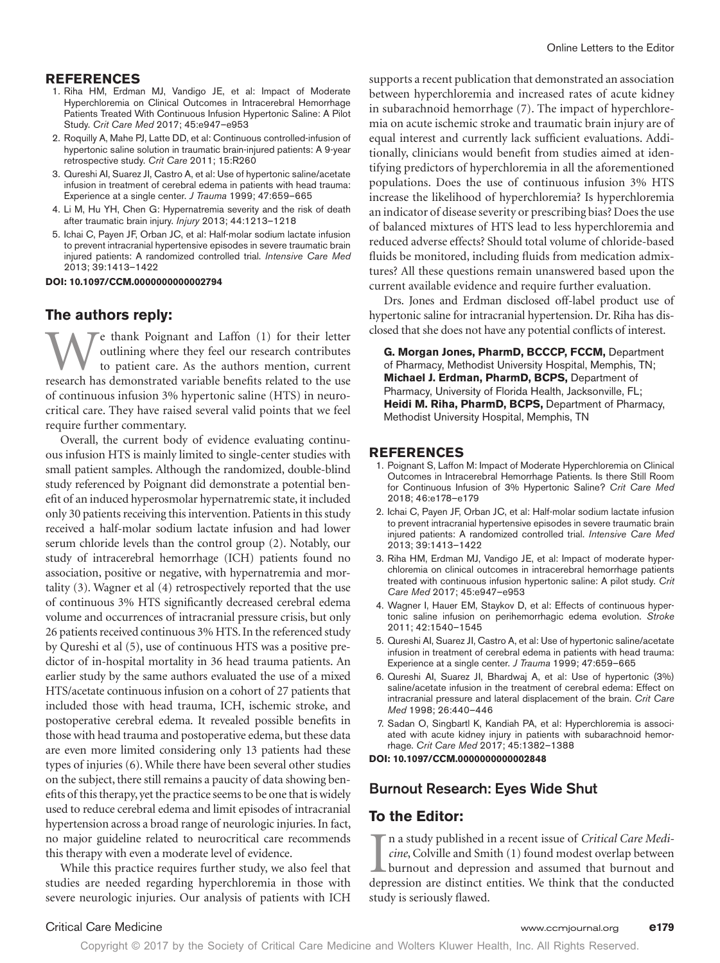#### **REFERENCES**

- 1. Riha HM, Erdman MJ, Vandigo JE, et al: Impact of Moderate Hyperchloremia on Clinical Outcomes in Intracerebral Hemorrhage Patients Treated With Continuous Infusion Hypertonic Saline: A Pilot Study. *Crit Care Med* 2017; 45:e947–e953
- 2. Roquilly A, Mahe PJ, Latte DD, et al: Continuous controlled-infusion of hypertonic saline solution in traumatic brain-injured patients: A 9-year retrospective study. *Crit Care* 2011; 15:R260
- 3. Qureshi AI, Suarez JI, Castro A, et al: Use of hypertonic saline/acetate infusion in treatment of cerebral edema in patients with head trauma: Experience at a single center. *J Trauma* 1999; 47:659–665
- 4. Li M, Hu YH, Chen G: Hypernatremia severity and the risk of death after traumatic brain injury. *Injury* 2013; 44:1213–1218
- 5. Ichai C, Payen JF, Orban JC, et al: Half-molar sodium lactate infusion to prevent intracranial hypertensive episodes in severe traumatic brain injured patients: A randomized controlled trial. *Intensive Care Med* 2013; 39:1413–1422

**DOI: 10.1097/CCM.0000000000002794**

# **The authors reply:**

We thank Poignant and Laffon (1) for their letter<br>to patient care. As the authors mention, current<br>research has demonstrated variable benefits related to the use outlining where they feel our research contributes to patient care. As the authors mention, current research has demonstrated variable benefits related to the use of continuous infusion 3% hypertonic saline (HTS) in neurocritical care. They have raised several valid points that we feel require further commentary.

Overall, the current body of evidence evaluating continuous infusion HTS is mainly limited to single-center studies with small patient samples. Although the randomized, double-blind study referenced by Poignant did demonstrate a potential benefit of an induced hyperosmolar hypernatremic state, it included only 30 patients receiving this intervention. Patients in this study received a half-molar sodium lactate infusion and had lower serum chloride levels than the control group (2). Notably, our study of intracerebral hemorrhage (ICH) patients found no association, positive or negative, with hypernatremia and mortality (3). Wagner et al (4) retrospectively reported that the use of continuous 3% HTS significantly decreased cerebral edema volume and occurrences of intracranial pressure crisis, but only 26 patients received continuous 3% HTS. In the referenced study by Qureshi et al (5), use of continuous HTS was a positive predictor of in-hospital mortality in 36 head trauma patients. An earlier study by the same authors evaluated the use of a mixed HTS/acetate continuous infusion on a cohort of 27 patients that included those with head trauma, ICH, ischemic stroke, and postoperative cerebral edema. It revealed possible benefits in those with head trauma and postoperative edema, but these data are even more limited considering only 13 patients had these types of injuries (6). While there have been several other studies on the subject, there still remains a paucity of data showing benefits of this therapy, yet the practice seems to be one that is widely used to reduce cerebral edema and limit episodes of intracranial hypertension across a broad range of neurologic injuries. In fact, no major guideline related to neurocritical care recommends this therapy with even a moderate level of evidence.

While this practice requires further study, we also feel that studies are needed regarding hyperchloremia in those with severe neurologic injuries. Our analysis of patients with ICH

supports a recent publication that demonstrated an association between hyperchloremia and increased rates of acute kidney in subarachnoid hemorrhage (7). The impact of hyperchloremia on acute ischemic stroke and traumatic brain injury are of equal interest and currently lack sufficient evaluations. Additionally, clinicians would benefit from studies aimed at identifying predictors of hyperchloremia in all the aforementioned populations. Does the use of continuous infusion 3% HTS increase the likelihood of hyperchloremia? Is hyperchloremia an indicator of disease severity or prescribing bias? Does the use of balanced mixtures of HTS lead to less hyperchloremia and reduced adverse effects? Should total volume of chloride-based fluids be monitored, including fluids from medication admixtures? All these questions remain unanswered based upon the current available evidence and require further evaluation.

Drs. Jones and Erdman disclosed off-label product use of hypertonic saline for intracranial hypertension. Dr. Riha has disclosed that she does not have any potential conflicts of interest.

**G. Morgan Jones, PharmD, BCCCP, FCCM,** Department of Pharmacy, Methodist University Hospital, Memphis, TN; **Michael J. Erdman, PharmD, BCPS,** Department of Pharmacy, University of Florida Health, Jacksonville, FL; **Heidi M. Riha, PharmD, BCPS,** Department of Pharmacy, Methodist University Hospital, Memphis, TN

#### **REFERENCES**

- 1. Poignant S, Laffon M: Impact of Moderate Hyperchloremia on Clinical Outcomes in Intracerebral Hemorrhage Patients. Is there Still Room for Continuous Infusion of 3% Hypertonic Saline? *Crit Care Med* 2018; 46:e178–e179
- 2. Ichai C, Payen JF, Orban JC, et al: Half-molar sodium lactate infusion to prevent intracranial hypertensive episodes in severe traumatic brain injured patients: A randomized controlled trial. *Intensive Care Med* 2013; 39:1413–1422
- 3. Riha HM, Erdman MJ, Vandigo JE, et al: Impact of moderate hyperchloremia on clinical outcomes in intracerebral hemorrhage patients treated with continuous infusion hypertonic saline: A pilot study. *Crit Care Med* 2017; 45:e947–e953
- 4. Wagner I, Hauer EM, Staykov D, et al: Effects of continuous hypertonic saline infusion on perihemorrhagic edema evolution. *Stroke* 2011; 42:1540–1545
- 5. Qureshi AI, Suarez JI, Castro A, et al: Use of hypertonic saline/acetate infusion in treatment of cerebral edema in patients with head trauma: Experience at a single center. *J Trauma* 1999; 47:659–665
- 6. Qureshi AI, Suarez JI, Bhardwaj A, et al: Use of hypertonic (3%) saline/acetate infusion in the treatment of cerebral edema: Effect on intracranial pressure and lateral displacement of the brain. *Crit Care Med* 1998; 26:440–446
- 7. Sadan O, Singbartl K, Kandiah PA, et al: Hyperchloremia is associated with acute kidney injury in patients with subarachnoid hemorrhage. *Crit Care Med* 2017; 45:1382–1388

**DOI: 10.1097/CCM.0000000000002848**

# Burnout Research: Eyes Wide Shut

### **To the Editor:**

I n a study published in a recent issue of *Critical Care Medicine*, Colville and Smith (1) found modest overlap between burnout and depression and assumed that burnout and depression are distinct entities. We think that the conducted study is seriously flawed.